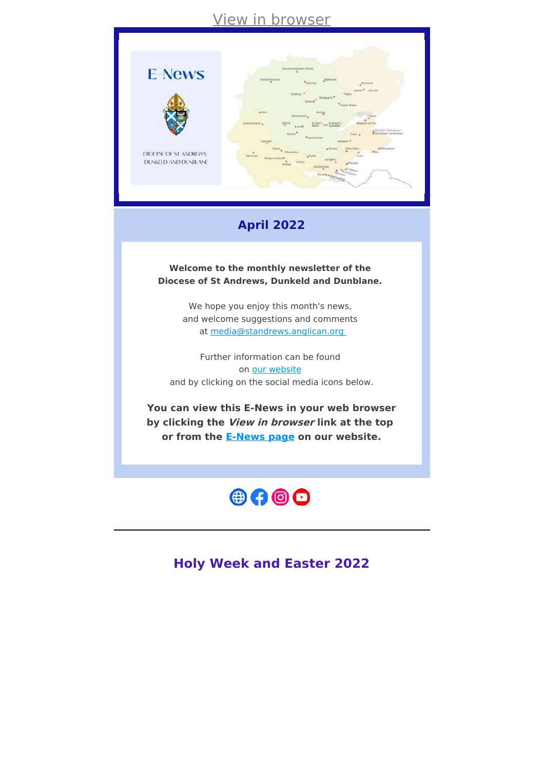# View in [browser](file:///var/www/html/public/%7B%7B%20mirror%20%7D%7D)



# **April 2022**

**Welcome to the monthly newsletter of the Diocese of St Andrews, Dunkeld and Dunblane.**

> We hope you enjoy this month's news, and welcome suggestions and comments at [media@standrews.anglican.org](mailto:media@standrews.anglican.org)

Further information can be found on our [website](https://standrews.anglican.org/) and by clicking on the social media icons below.

**You can view this E-News in your web browser by clicking the View in browser link at the top or from the [E-News](https://standrews.anglican.org/e-news/) page on our website.**



**Holy Week and Easter 2022**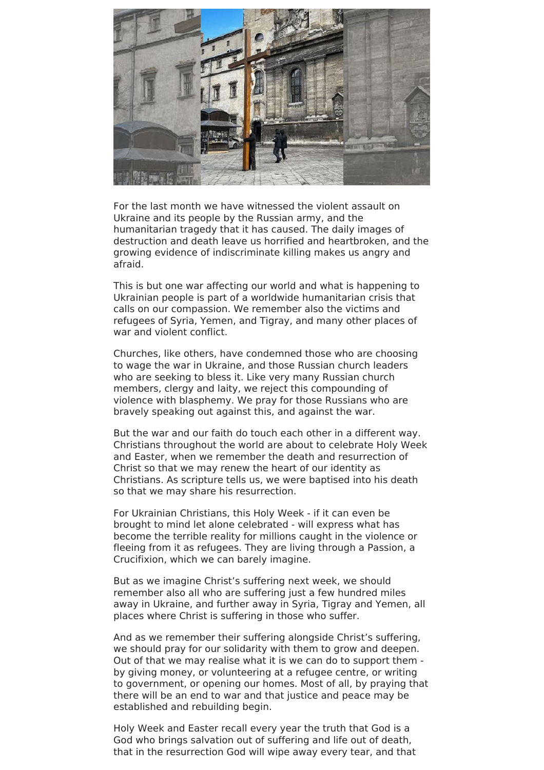

For the last month we have witnessed the violent assault on Ukraine and its people by the Russian army, and the humanitarian tragedy that it has caused. The daily images of destruction and death leave us horrified and heartbroken, and the growing evidence of indiscriminate killing makes us angry and afraid.

This is but one war affecting our world and what is happening to Ukrainian people is part of a worldwide humanitarian crisis that calls on our compassion. We remember also the victims and refugees of Syria, Yemen, and Tigray, and many other places of war and violent conflict.

Churches, like others, have condemned those who are choosing to wage the war in Ukraine, and those Russian church leaders who are seeking to bless it. Like very many Russian church members, clergy and laity, we reject this compounding of violence with blasphemy. We pray for those Russians who are bravely speaking out against this, and against the war.

But the war and our faith do touch each other in a different way. Christians throughout the world are about to celebrate Holy Week and Easter, when we remember the death and resurrection of Christ so that we may renew the heart of our identity as Christians. As scripture tells us, we were baptised into his death so that we may share his resurrection.

For Ukrainian Christians, this Holy Week - if it can even be brought to mind let alone celebrated - will express what has become the terrible reality for millions caught in the violence or fleeing from it as refugees. They are living through a Passion, a Crucifixion, which we can barely imagine.

But as we imagine Christ's suffering next week, we should remember also all who are suffering just a few hundred miles away in Ukraine, and further away in Syria, Tigray and Yemen, all places where Christ is suffering in those who suffer.

And as we remember their suffering alongside Christ's suffering, we should pray for our solidarity with them to grow and deepen. Out of that we may realise what it is we can do to support them by giving money, or volunteering at a refugee centre, or writing to government, or opening our homes. Most of all, by praying that there will be an end to war and that justice and peace may be established and rebuilding begin.

Holy Week and Easter recall every year the truth that God is a God who brings salvation out of suffering and life out of death, that in the resurrection God will wipe away every tear, and that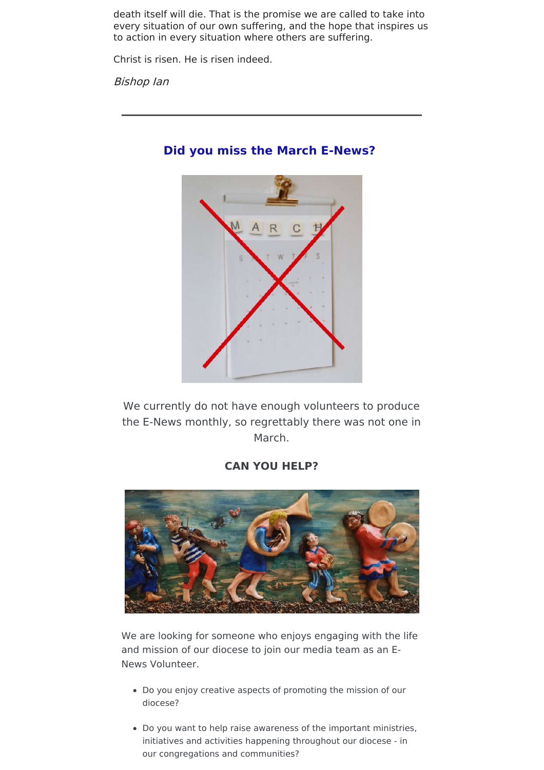death itself will die. That is the promise we are called to take into every situation of our own suffering, and the hope that inspires us to action in every situation where others are suffering.

Christ is risen. He is risen indeed.

Bishop Ian



# **Did you miss the March E-News?**

We currently do not have enough volunteers to produce the E-News monthly, so regrettably there was not one in March.

# **CAN YOU HELP?**



We are looking for someone who enjoys engaging with the life and mission of our diocese to join our media team as an E-News Volunteer.

- Do you enjoy creative aspects of promoting the mission of our diocese?
- Do you want to help raise awareness of the important ministries, initiatives and activities happening throughout our diocese - in our congregations and communities?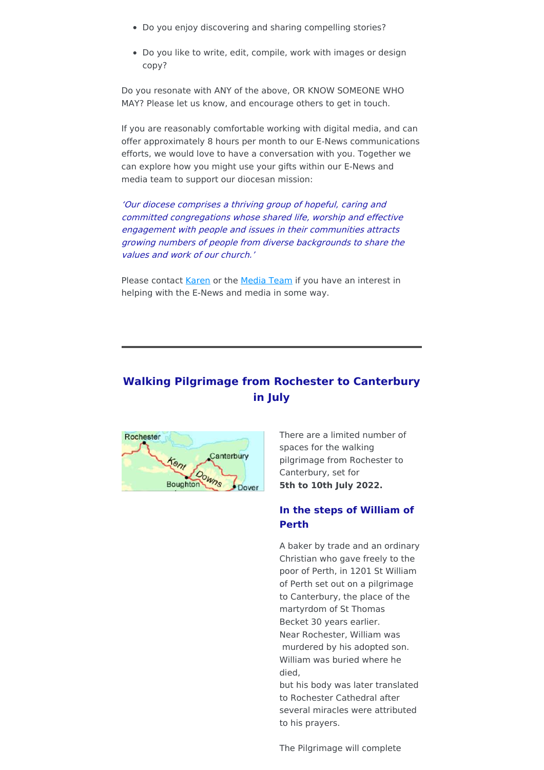- Do you enjoy discovering and sharing compelling stories?
- Do you like to write, edit, compile, work with images or design copy?

Do you resonate with ANY of the above, OR KNOW SOMEONE WHO MAY? Please let us know, and encourage others to get in touch.

If you are reasonably comfortable working with digital media, and can offer approximately 8 hours per month to our E-News communications efforts, we would love to have a conversation with you. Together we can explore how you might use your gifts within our E-News and media team to support our diocesan mission:

'Our diocese comprises <sup>a</sup> thriving group of hopeful, caring and committed congregations whose shared life, worship and effective engagement with people and issues in their communities attracts growing numbers of people from diverse backgrounds to share the values and work of our church.'

Please contact [Karen](mailto:ddm@standrews.anglican.org?subject=E-News%20Volunteer%20Enquiry) or the [Media](mailto:media@standrews.anglican.org?subject=E-New%20Volunteer%20Enquiry) Team if you have an interest in helping with the E-News and media in some way.

# **Walking Pilgrimage from Rochester to Canterbury in July**



There are a limited number of spaces for the walking pilgrimage from Rochester to Canterbury, set for **5th to 10th July 2022.**

### **In the steps of William of Perth**

A baker by trade and an ordinary Christian who gave freely to the poor of Perth, in 1201 St William of Perth set out on a pilgrimage to Canterbury, the place of the martyrdom of St Thomas Becket 30 years earlier. Near Rochester, William was murdered by his adopted son. William was buried where he died, but his body was later translated

to Rochester Cathedral after several miracles were attributed to his prayers.

The Pilgrimage will complete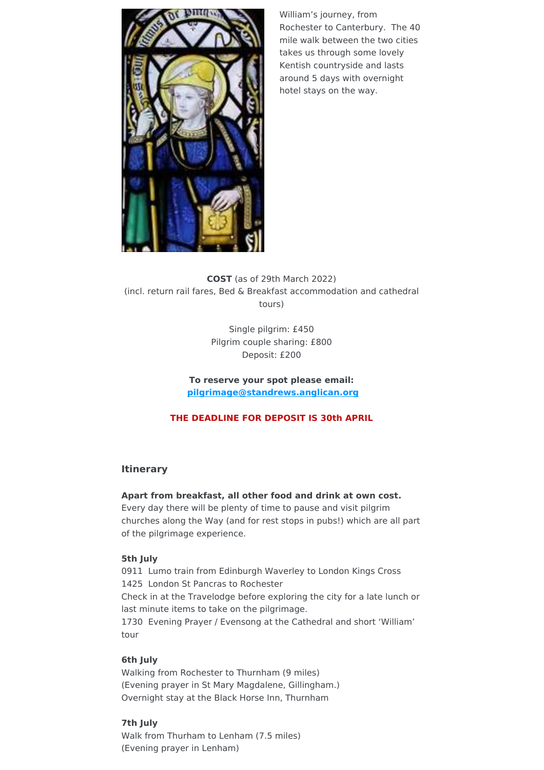

William's journey, from Rochester to Canterbury. The 40 mile walk between the two cities takes us through some lovely Kentish countryside and lasts around 5 days with overnight hotel stays on the way.

**COST** (as of 29th March 2022) (incl. return rail fares, Bed & Breakfast accommodation and cathedral tours)

> Single pilgrim: £450 Pilgrim couple sharing: £800 Deposit: £200

**To reserve your spot please email: [pilgrimage@standrews.anglican.org](mailto:pilgrimage@standrews.anglican.org)**

## **THE DEADLINE FOR DEPOSIT IS 30th APRIL**

## **Itinerary**

### **Apart from breakfast, all other food and drink at own cost.**

Every day there will be plenty of time to pause and visit pilgrim churches along the Way (and for rest stops in pubs!) which are all part of the pilgrimage experience.

### **5th July**

0911 Lumo train from Edinburgh Waverley to London Kings Cross 1425 London St Pancras to Rochester Check in at the Travelodge before exploring the city for a late lunch or last minute items to take on the pilgrimage. 1730 Evening Prayer / Evensong at the Cathedral and short 'William' tour

### **6th July**

Walking from Rochester to Thurnham (9 miles) (Evening prayer in St Mary Magdalene, Gillingham.) Overnight stay at the Black Horse Inn, Thurnham

### **7th July**

Walk from Thurham to Lenham (7.5 miles) (Evening prayer in Lenham)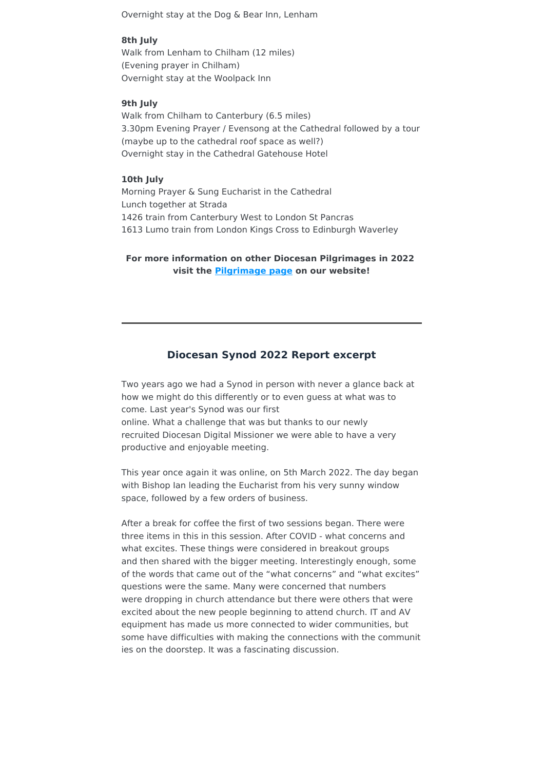Overnight stay at the Dog & Bear Inn, Lenham

#### **8th July**

Walk from Lenham to Chilham (12 miles) (Evening prayer in Chilham) Overnight stay at the Woolpack Inn

#### **9th July**

Walk from Chilham to Canterbury (6.5 miles) 3.30pm Evening Prayer / Evensong at the Cathedral followed by a tour (maybe up to the cathedral roof space as well?) Overnight stay in the Cathedral Gatehouse Hotel

#### **10th July**

Morning Prayer & Sung Eucharist in the Cathedral Lunch together at Strada 1426 train from Canterbury West to London St Pancras 1613 Lumo train from London Kings Cross to Edinburgh Waverley

**For more information on other Diocesan Pilgrimages in 2022 visit the [Pilgrimage](https://standrews.anglican.org/pilgrimage/) page on our website!**

## **Diocesan Synod 2022 Report excerpt**

Two years ago we had a Synod in person with never a glance back at how we might do this differently or to even guess at what was to come. Last year's Synod was our first online. What a challenge that was but thanks to our newly recruited Diocesan Digital Missioner we were able to have a very productive and enjoyable meeting.

This year once again it was online, on 5th March 2022. The day began with Bishop Ian leading the Eucharist from his very sunny window space, followed by a few orders of business.

After a break for coffee the first of two sessions began. There were three items in this in this session. After COVID - what concerns and what excites. These things were considered in breakout groups and then shared with the bigger meeting. Interestingly enough, some of the words that came out of the "what concerns" and "what excites" questions were the same. Many were concerned that numbers were dropping in church attendance but there were others that were excited about the new people beginning to attend church. IT and AV equipment has made us more connected to wider communities, but some have difficulties with making the connections with the communit ies on the doorstep. It was a fascinating discussion.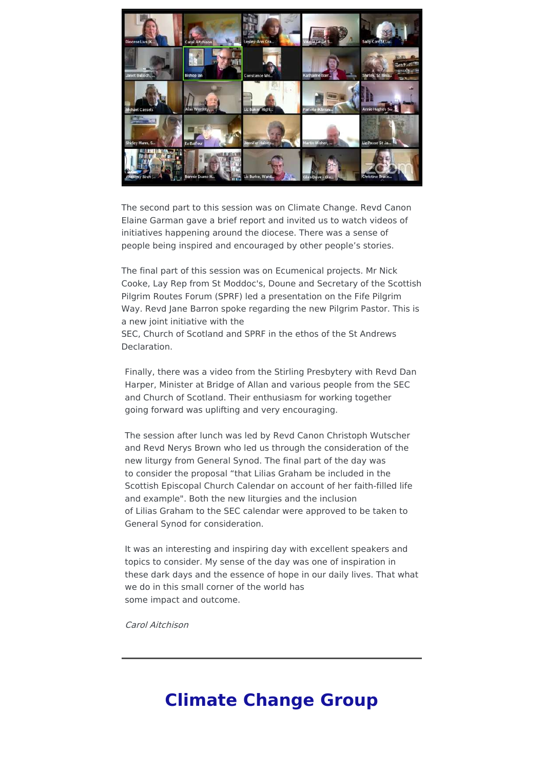

The second part to this session was on Climate Change. Revd Canon Elaine Garman gave a brief report and invited us to watch videos of initiatives happening around the diocese. There was a sense of people being inspired and encouraged by other people's stories.

The final part of this session was on Ecumenical projects. Mr Nick Cooke, Lay Rep from St Moddoc's, Doune and Secretary of the Scottish Pilgrim Routes Forum (SPRF) led a presentation on the Fife Pilgrim Way. Revd Jane Barron spoke regarding the new Pilgrim Pastor. This is a new joint initiative with the

SEC, Church of Scotland and SPRF in the ethos of the St Andrews Declaration.

Finally, there was a video from the Stirling Presbytery with Revd Dan Harper, Minister at Bridge of Allan and various people from the SEC and Church of Scotland. Their enthusiasm for working together going forward was uplifting and very encouraging.

The session after lunch was led by Revd Canon Christoph Wutscher and Revd Nerys Brown who led us through the consideration of the new liturgy from General Synod. The final part of the day was to consider the proposal "that Lilias Graham be included in the Scottish Episcopal Church Calendar on account of her faith-filled life and example". Both the new liturgies and the inclusion of Lilias Graham to the SEC calendar were approved to be taken to General Synod for consideration.

It was an interesting and inspiring day with excellent speakers and topics to consider. My sense of the day was one of inspiration in these dark days and the essence of hope in our daily lives. That what we do in this small corner of the world has some impact and outcome.

Carol Aitchison

# **Climate Change Group**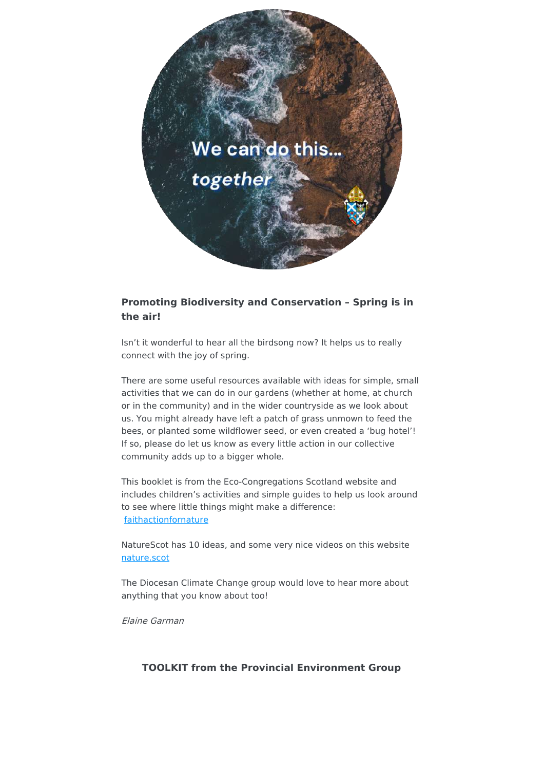

## **Promoting Biodiversity and Conservation – Spring is in the air!**

Isn't it wonderful to hear all the birdsong now? It helps us to really connect with the joy of spring.

There are some useful resources available with ideas for simple, small activities that we can do in our gardens (whether at home, at church or in the community) and in the wider countryside as we look about us. You might already have left a patch of grass unmown to feed the bees, or planted some wildflower seed, or even created a 'bug hotel'! If so, please do let us know as every little action in our collective community adds up to a bigger whole.

This booklet is from the Eco-Congregations Scotland website and includes children's activities and simple guides to help us look around to see where little things might make a difference: [faithactionfornature](https://faithactionfornature.org/2018/02/08/spring/)

NatureScot has 10 ideas, and some very nice videos on this website [nature.scot](https://www.nature.scot/make-space-nature-spring)

The Diocesan Climate Change group would love to hear more about anything that you know about too!

Elaine Garman

### **TOOLKIT from the Provincial Environment Group**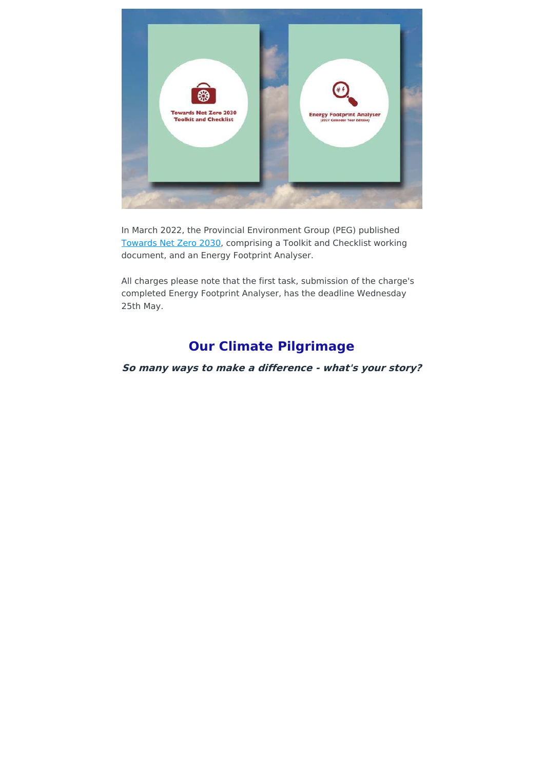

In March 2022, the Provincial Environment Group (PEG) published [Towards](https://www.scotland.anglican.org/towards-net-zero-2030-toolkit-checklist-and-energy-footprint-analyser-published/) Net Zero 2030, comprising a Toolkit and Checklist working document, and an Energy Footprint Analyser.

All charges please note that the first task, submission of the charge's completed Energy Footprint Analyser, has the deadline Wednesday 25th May.

# **Our Climate Pilgrimage**

**So many ways to make <sup>a</sup> difference - what's your story?**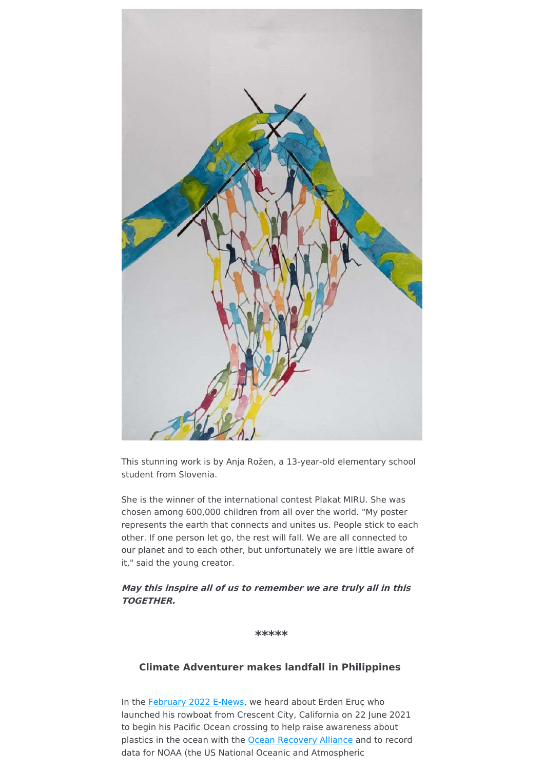

This stunning work is by Anja Rožen, a 13-year-old elementary school student from Slovenia.

She is the winner of the international contest Plakat MIRU. She was chosen among 600,000 children from all over the world. "My poster represents the earth that connects and unites us. People stick to each other. If one person let go, the rest will fall. We are all connected to our planet and to each other, but unfortunately we are little aware of it," said the young creator.

## **May this inspire all of us to remember we are truly all in this TOGETHER.**

**\*\*\*\*\***

### **Climate Adventurer makes landfall in Philippines**

In the [February](https://7hgqo.r.a.d.sendibm1.com/mk/mr/VVfwjrf7KlvLwJndFMxP5z4TpIuF08-nqLaPMH6s-Y4Va5R20K4HmvrutLHKtVMGMP9J_UzZaFPC_7npIIU79IermHyZRim74poesUVN8c_ZPGZg5KyGVW6jgrVxghNaDu33) 2022 E-News, we heard about Erden Eruç who launched his rowboat from Crescent City, California on 22 June 2021 to begin his Pacific Ocean crossing to help raise awareness about plastics in the ocean with the Ocean [Recovery](https://www.erdeneruc.com/ocean-recovery-alliance) Alliance and to record data for NOAA (the US National Oceanic and Atmospheric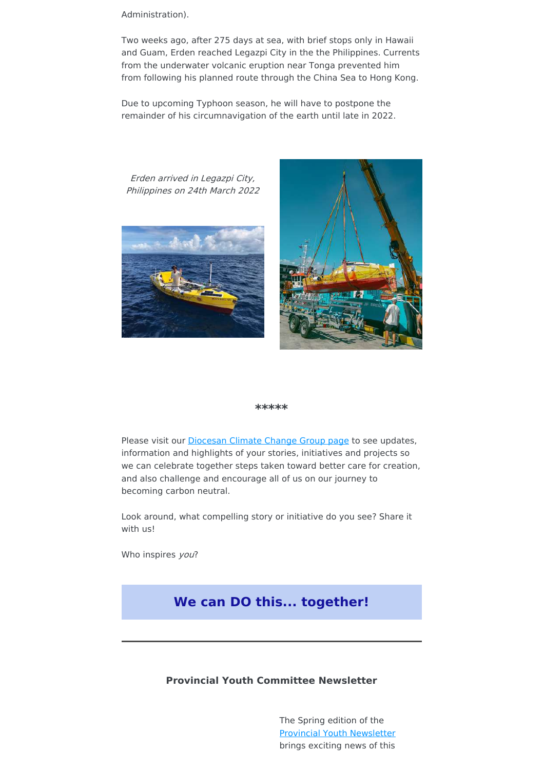Administration).

Two weeks ago, after 275 days at sea, with brief stops only in Hawaii and Guam, Erden reached Legazpi City in the the Philippines. Currents from the underwater volcanic eruption near Tonga prevented him from following his planned route through the China Sea to Hong Kong.

Due to upcoming Typhoon season, he will have to postpone the remainder of his circumnavigation of the earth until late in 2022.

Erden arrived in Legazpi City, Philippines on 24th March 2022





#### **\*\*\*\*\***

Please visit our **[Diocesan](https://standrews.anglican.org/climate-change-group/) Climate Change Group page** to see updates, information and highlights of your stories, initiatives and projects so we can celebrate together steps taken toward better care for creation, and also challenge and encourage all of us on our journey to becoming carbon neutral.

Look around, what compelling story or initiative do you see? Share it with us!

Who inspires you?

# **We can DO this... together!**

### **Provincial Youth Committee Newsletter**

The Spring edition of the Provincial Youth [Newsletter](https://www.scotland.anglican.org/who-we-are/organisation/boards-and-committees/mission-board/youth-committee/the-provincial-youth-newsletter/) brings exciting news of this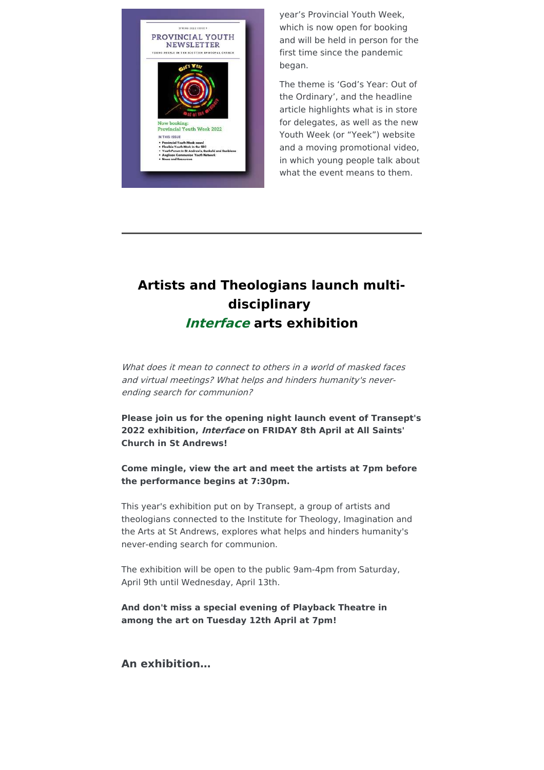

year's Provincial Youth Week, which is now open for booking and will be held in person for the first time since the pandemic began.

The theme is 'God's Year: Out of the Ordinary', and the headline article highlights what is in store for delegates, as well as the new Youth Week (or "Yeek") website and a moving promotional video, in which young people talk about what the event means to them.

# **Artists and Theologians launch multidisciplinary Interface arts exhibition**

What does it mean to connect to others in a world of masked faces and virtual meetings? What helps and hinders humanity's neverending search for communion?

**Please join us for the opening night launch event of Transept's 2022 exhibition, Interface on FRIDAY 8th April at All Saints' Church in St Andrews!**

**Come mingle, view the art and meet the artists at 7pm before the performance begins at 7:30pm.**

This year's exhibition put on by Transept, a group of artists and theologians connected to the Institute for Theology, Imagination and the Arts at St Andrews, explores what helps and hinders humanity's never-ending search for communion.

The exhibition will be open to the public 9am-4pm from Saturday, April 9th until Wednesday, April 13th.

**And don't miss a special evening of Playback Theatre in among the art on Tuesday 12th April at 7pm!**

**An exhibition…**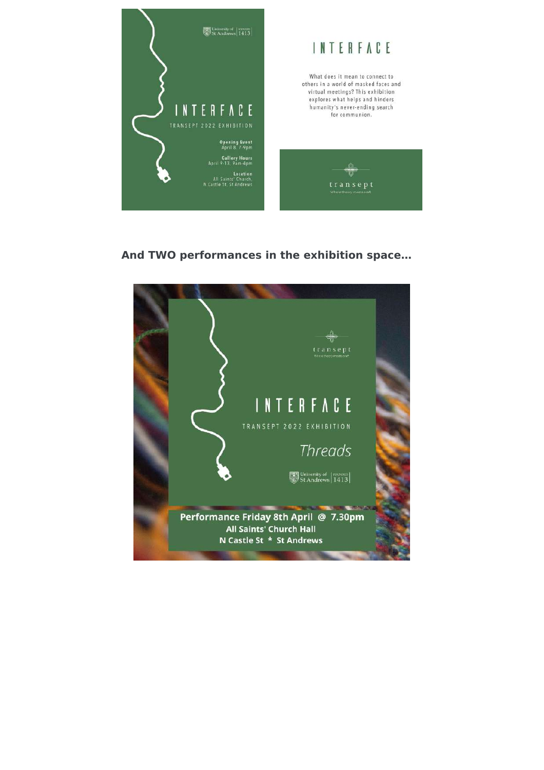

# And TWO performances in the exhibition space...

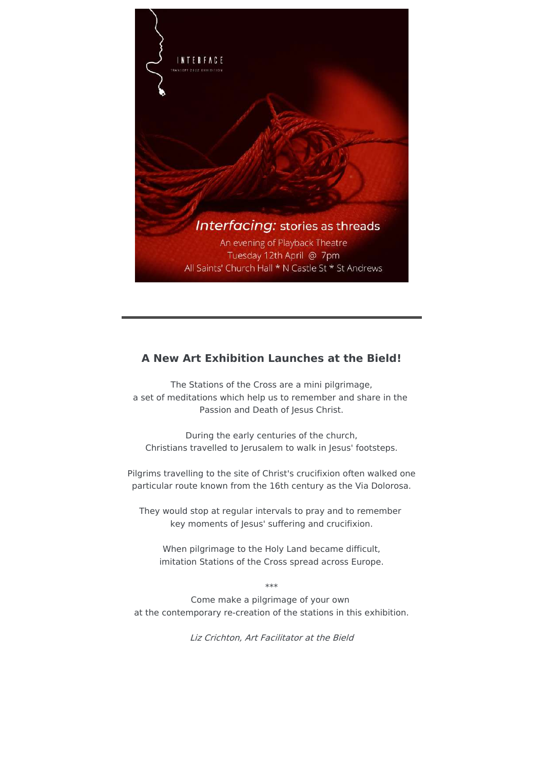

# **A New Art Exhibition Launches at the Bield!**

The Stations of the Cross are a mini pilgrimage, a set of meditations which help us to remember and share in the Passion and Death of Jesus Christ.

During the early centuries of the church, Christians travelled to Jerusalem to walk in Jesus' footsteps.

Pilgrims travelling to the site of Christ's crucifixion often walked one particular route known from the 16th century as the Via Dolorosa.

They would stop at regular intervals to pray and to remember key moments of Jesus' suffering and crucifixion.

When pilgrimage to the Holy Land became difficult, imitation Stations of the Cross spread across Europe.

\*\*\*

Come make a pilgrimage of your own at the contemporary re-creation of the stations in this exhibition.

Liz Crichton, Art Facilitator at the Bield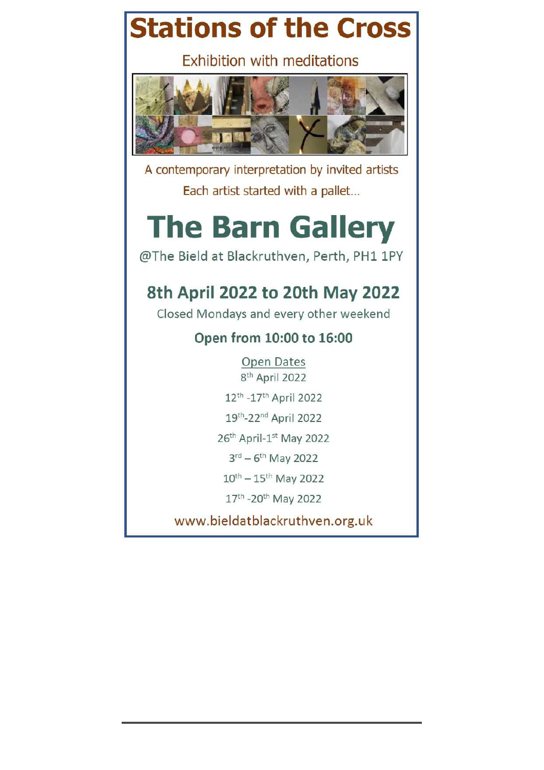# **Stations of the Cross**

**Exhibition with meditations** 



A contemporary interpretation by invited artists Each artist started with a pallet...

# **The Barn Gallery**

@The Bield at Blackruthven, Perth, PH1 1PY

# 8th April 2022 to 20th May 2022

Closed Mondays and every other weekend

# Open from 10:00 to 16:00

Open Dates 8<sup>th</sup> April 2022

12th - 17th April 2022

19th-22nd April 2022

26th April-1st May 2022

 $3^{\text{rd}} - 6^{\text{th}}$  May 2022

 $10^{th} - 15^{th}$  May 2022

17th -20th May 2022

www.bieldatblackruthven.org.uk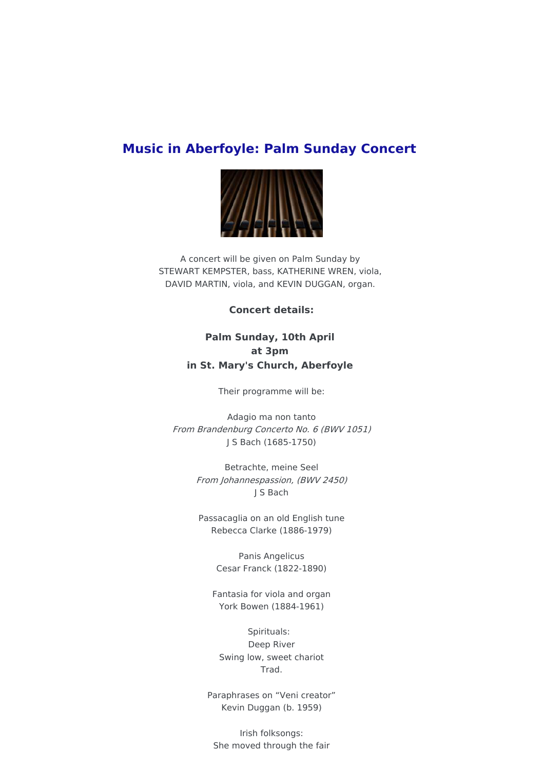# **Music in Aberfoyle: Palm Sunday Concert**



A concert will be given on Palm Sunday by STEWART KEMPSTER, bass, KATHERINE WREN, viola, DAVID MARTIN, viola, and KEVIN DUGGAN, organ.

### **Concert details:**

# **Palm Sunday, 10th April at 3pm in St. Mary's Church, Aberfoyle**

Their programme will be:

Adagio ma non tanto From Brandenburg Concerto No. 6 (BWV 1051) J S Bach (1685-1750)

> Betrachte, meine Seel From Johannespassion, (BWV 2450) J S Bach

Passacaglia on an old English tune Rebecca Clarke (1886-1979)

> Panis Angelicus Cesar Franck (1822-1890)

Fantasia for viola and organ York Bowen (1884-1961)

Spirituals: Deep River Swing low, sweet chariot Trad.

Paraphrases on "Veni creator" Kevin Duggan (b. 1959)

Irish folksongs: She moved through the fair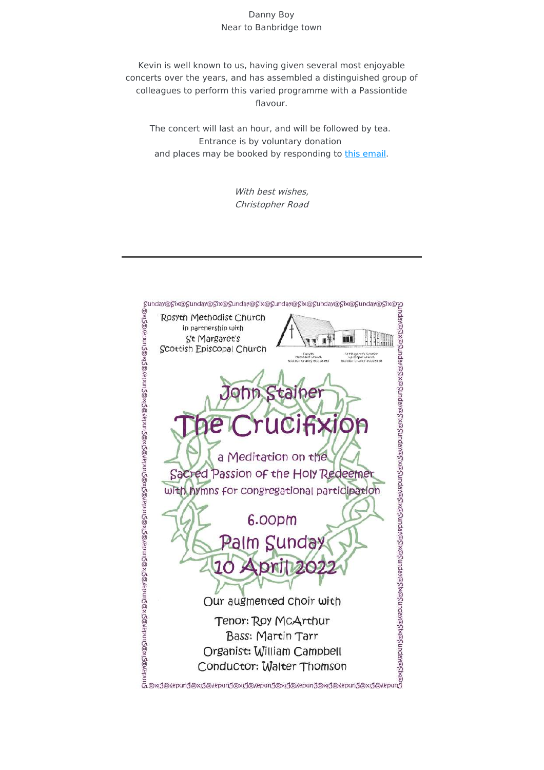#### Danny Boy Near to Banbridge town

Kevin is well known to us, having given several most enjoyable concerts over the years, and has assembled a distinguished group of colleagues to perform this varied programme with a Passiontide flavour.

The concert will last an hour, and will be followed by tea. Entrance is by voluntary donation and places may be booked by responding to this [email](mailto:aberfoyleconcerts@gmail.com).

> With best wishes, Christopher Road

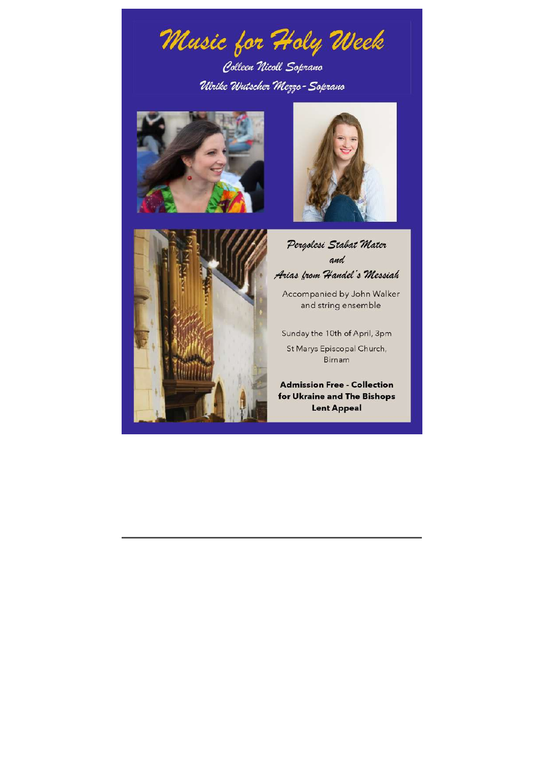Music for Holy Week

Colleen Nicoll Soprano Ulrike Wutscher Mezzo-Soprano







Pergolesi Stabat Mater and Arias from Handel's Messiah

Accompanied by John Walker and string ensemble

Sunday the 10th of April, 3pm St Marys Episcopal Church, Birnam

**Admission Free - Collection** for Ukraine and The Bishops **Lent Appeal**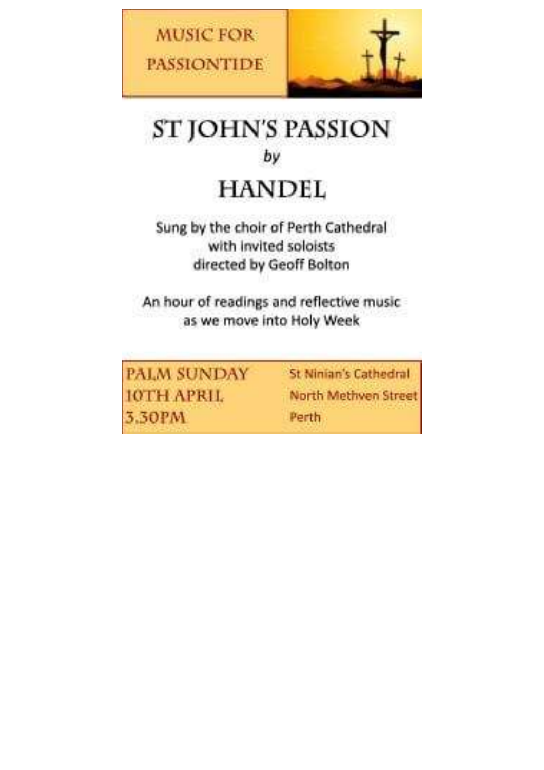



# **ST JOHN'S PASSION** by

# **HANDEL**

Sung by the choir of Perth Cathedral with invited soloists directed by Geoff Bolton

An hour of readings and reflective music as we move into Holy Week

PALM SUNDAY **IOTH APRIL** 3.30PM

St Ninian's Cathedral North Methven Street Perth.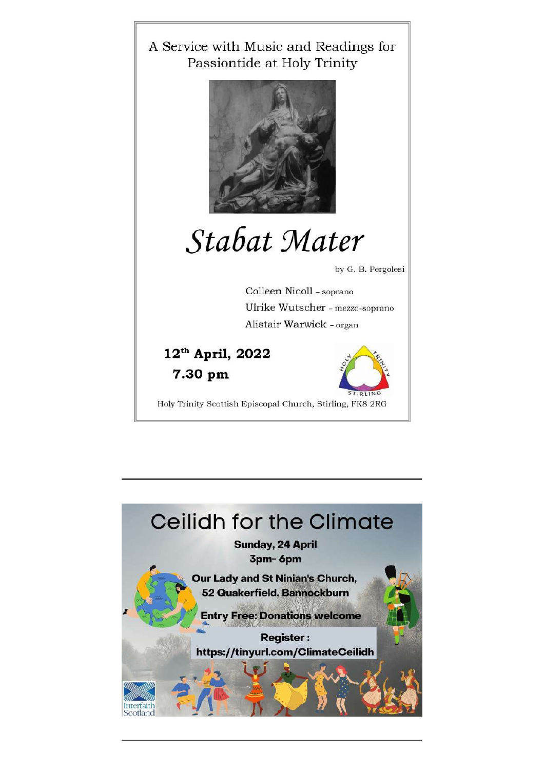

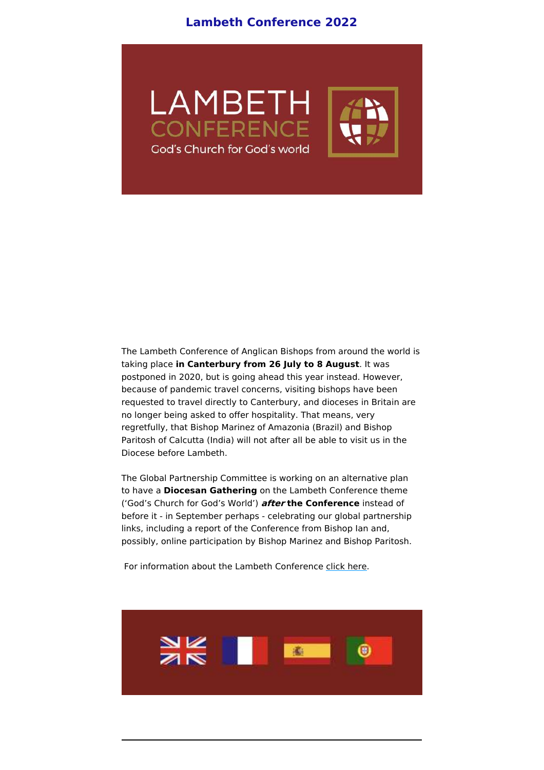# **Lambeth Conference 2022**



The Lambeth Conference of Anglican Bishops from around the world is taking place **in Canterbury from 26 July to 8 August**. It was postponed in 2020, but is going ahead this year instead. However, because of pandemic travel concerns, visiting bishops have been requested to travel directly to Canterbury, and dioceses in Britain are no longer being asked to offer hospitality. That means, very regretfully, that Bishop Marinez of Amazonia (Brazil) and Bishop Paritosh of Calcutta (India) will not after all be able to visit us in the Diocese before Lambeth.

The Global Partnership Committee is working on an alternative plan to have a **Diocesan Gathering** on the Lambeth Conference theme ('God's Church for God's World') **after the Conference** instead of before it - in September perhaps - celebrating our global partnership links, including a report of the Conference from Bishop Ian and, possibly, online participation by Bishop Marinez and Bishop Paritosh.

For information about the Lambeth Conference click [here](http://www.lambethconference.org/).

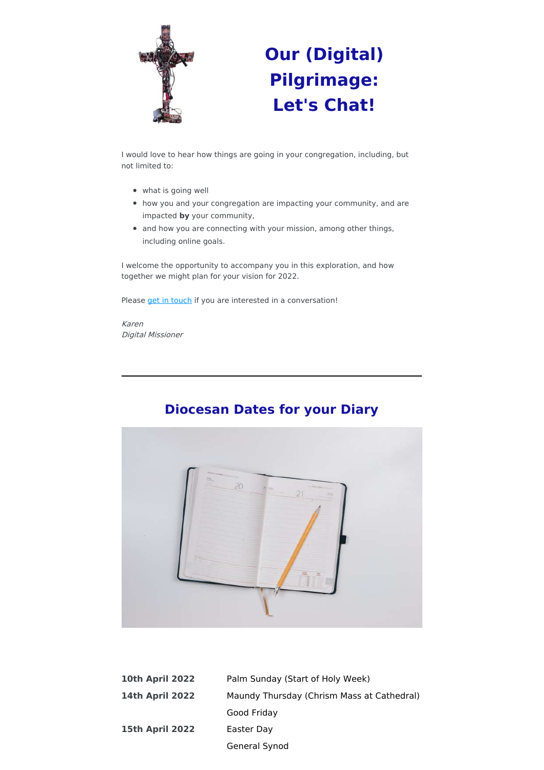

# **Our (Digital) Pilgrimage: Let's Chat!**

I would love to hear how things are going in your congregation, including, but not limited to:

- what is going well
- how you and your congregation are impacting your community, and are impacted **by** your community,
- and how you are connecting with your mission, among other things, including online goals.

I welcome the opportunity to accompany you in this exploration, and how together we might plan for your vision for 2022.

Please get in [touch](mailto:ddm@standrews.anglican.org?subject=Connecting%20re%3A%20Our%20(digital)%20Pilgrimage) if you are interested in a conversation!

Karen Digital Missioner



# **Diocesan Dates for your Diary**

| <b>10th April 2022</b> | Palm Sunday (Start of Holy Week)           |
|------------------------|--------------------------------------------|
| <b>14th April 2022</b> | Maundy Thursday (Chrism Mass at Cathedral) |
|                        | Good Friday                                |
| <b>15th April 2022</b> | Easter Day                                 |
|                        | General Synod                              |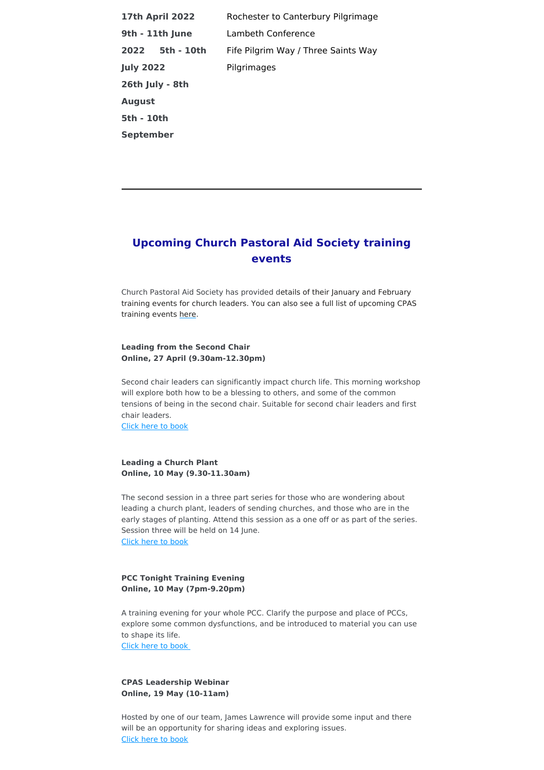| <b>17th April 2022</b> | Rochester to Canterbury Pilgrimage  |
|------------------------|-------------------------------------|
| 9th - 11th June        | Lambeth Conference                  |
| 2022 5th - 10th        | Fife Pilgrim Way / Three Saints Way |
| <b>July 2022</b>       | Pilgrimages                         |
| 26th July - 8th        |                                     |
| <b>August</b>          |                                     |
| 5th - 10th             |                                     |
| September              |                                     |

# **Upcoming Church Pastoral Aid Society training events**

Church Pastoral Aid Society has provided details of their January and February training events for church leaders. You can also see a full list of upcoming CPAS training events [here](http://www.cpas.org.uk/events).

#### **Leading from the Second Chair Online, 27 April (9.30am-12.30pm)**

Second chair leaders can significantly impact church life. This morning workshop will explore both how to be a blessing to others, and some of the common tensions of being in the second chair. Suitable for second chair leaders and first chair leaders.

Click here to [book](http://www.cpas.org.uk/secondchair)

#### **Leading a Church Plant Online, 10 May (9.30-11.30am)**

The second session in a three part series for those who are wondering about leading a church plant, leaders of sending churches, and those who are in the early stages of planting. Attend this session as a one off or as part of the series. Session three will be held on 14 June. Click here to [book](http://www.cpas.org.uk/churchplant)

#### **PCC Tonight Training Evening Online, 10 May (7pm-9.20pm)**

A training evening for your whole PCC. Clarify the purpose and place of PCCs, explore some common dysfunctions, and be introduced to material you can use to shape its life.

Click here to [book](http://www.cpas.org.uk/pccevents)

#### **CPAS Leadership Webinar Online, 19 May (10-11am)**

Hosted by one of our team, James Lawrence will provide some input and there will be an opportunity for sharing ideas and exploring issues. Click here to [book](http://www.cpas.org.uk/webinars)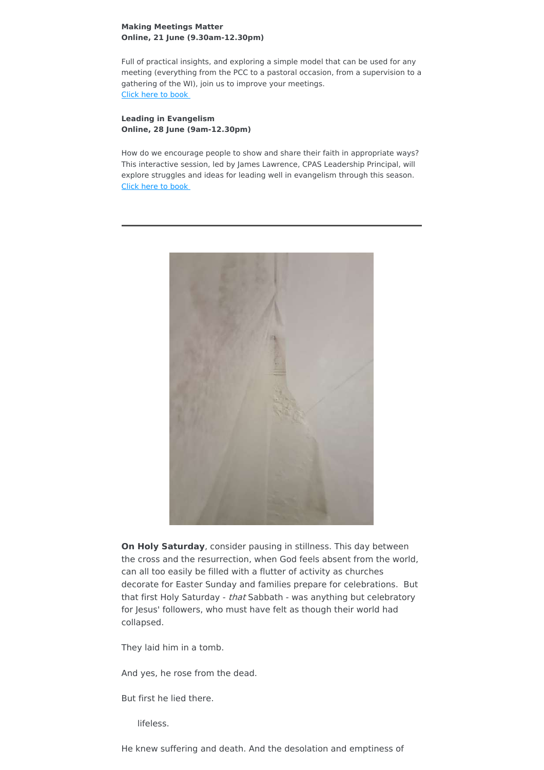#### **Making Meetings Matter Online, 21 June (9.30am-12.30pm)**

Full of practical insights, and exploring a simple model that can be used for any meeting (everything from the PCC to a pastoral occasion, from a supervision to a gathering of the WI), join us to improve your meetings. Click here to [book](http://www.cpas.org.uk/meetings)

#### **Leading in Evangelism Online, 28 June (9am-12.30pm)**

How do we encourage people to show and share their faith in appropriate ways? This interactive session, led by James Lawrence, CPAS Leadership Principal, will explore struggles and ideas for leading well in evangelism through this season. Click here to [book](http://www.cpas.org.uk/leadevangelism)



**On Holy Saturday**, consider pausing in stillness. This day between the cross and the resurrection, when God feels absent from the world, can all too easily be filled with a flutter of activity as churches decorate for Easter Sunday and families prepare for celebrations. But that first Holy Saturday - that Sabbath - was anything but celebratory for Jesus' followers, who must have felt as though their world had collapsed.

They laid him in a tomb.

And yes, he rose from the dead.

But first he lied there.

lifeless.

He knew suffering and death. And the desolation and emptiness of